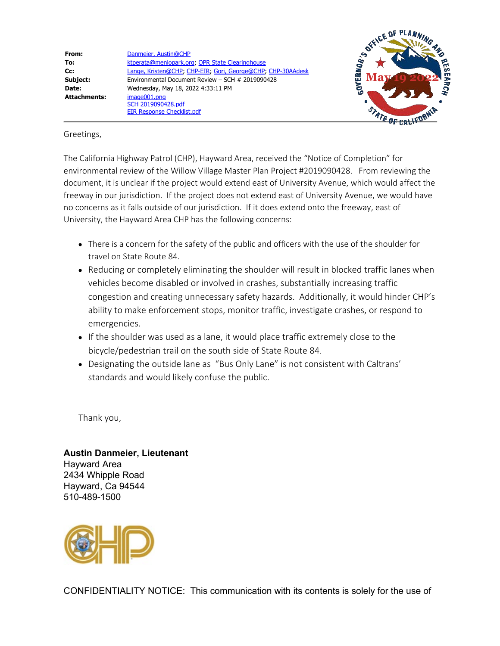**From:** [Danmeier, Austin@CHP](mailto:ADanmeier@chp.ca.gov) **To:** [ktperata@menlopark.org](mailto:ktperata@menlopark.org); [OPR State Clearinghouse](mailto:State.Clearinghouse@opr.ca.gov) **Cc:** [Lange, Kristen@CHP;](mailto:Kristen.Lange@chp.ca.gov) [CHP-EIR;](mailto:EIR@chp.ca.gov) [Gori, George@CHP](mailto:GGori@chp.ca.gov); [CHP-30AAdesk](mailto:30AAdesk@chp.ca.gov) **Subject:** Environmental Document Review – SCH # 2019090428 **Date:** Wednesday, May 18, 2022 4:33:11 PM **Attachments:** image001.png SCH 2019090428.pdf EIR Response Checklist.pdf



## Greetings,

The California Highway Patrol (CHP), Hayward Area, received the "Notice of Completion" for environmental review of the Willow Village Master Plan Project #2019090428. From reviewing the document, it is unclear if the project would extend east of University Avenue, which would affect the freeway in our jurisdiction. If the project does not extend east of University Avenue, we would have no concerns as it falls outside of our jurisdiction. If it does extend onto the freeway, east of University, the Hayward Area CHP has the following concerns:

- There is a concern for the safety of the public and officers with the use of the shoulder for travel on State Route 84.
- Reducing or completely eliminating the shoulder will result in blocked traffic lanes when vehicles become disabled or involved in crashes, substantially increasing traffic congestion and creating unnecessary safety hazards. Additionally, it would hinder CHP's ability to make enforcement stops, monitor traffic, investigate crashes, or respond to emergencies.
- If the shoulder was used as a lane, it would place traffic extremely close to the bicycle/pedestrian trail on the south side of State Route 84.
- Designating the outside lane as "Bus Only Lane" is not consistent with Caltrans' standards and would likely confuse the public.

Thank you,

**Austin Danmeier, Lieutenant** Hayward Area 2434 Whipple Road Hayward, Ca 94544 510-489-1500